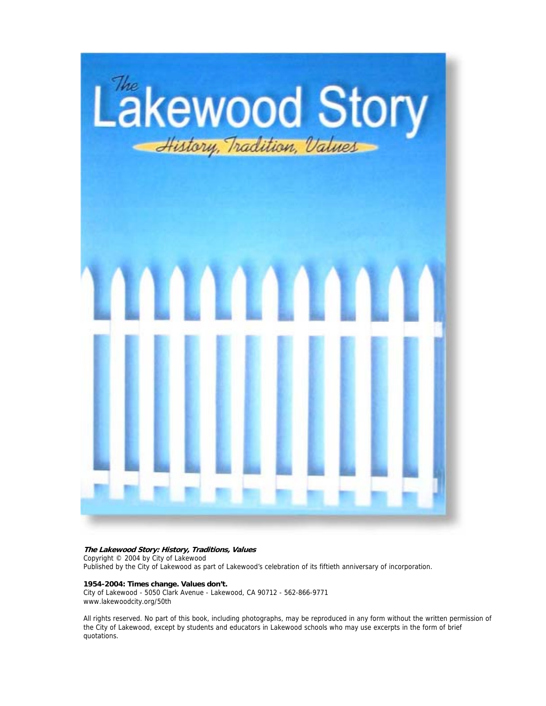

#### **The Lakewood Story: History, Traditions, Values**

Copyright © 2004 by City of Lakewood Published by the City of Lakewood as part of Lakewood's celebration of its fiftieth anniversary of incorporation.

#### **1954-2004: Times change. Values don't.**

City of Lakewood - 5050 Clark Avenue - Lakewood, CA 90712 - 562-866-9771 www.lakewoodcity.org/50th

All rights reserved. No part of this book, including photographs, may be reproduced in any form without the written permission of the City of Lakewood, except by students and educators in Lakewood schools who may use excerpts in the form of brief quotations.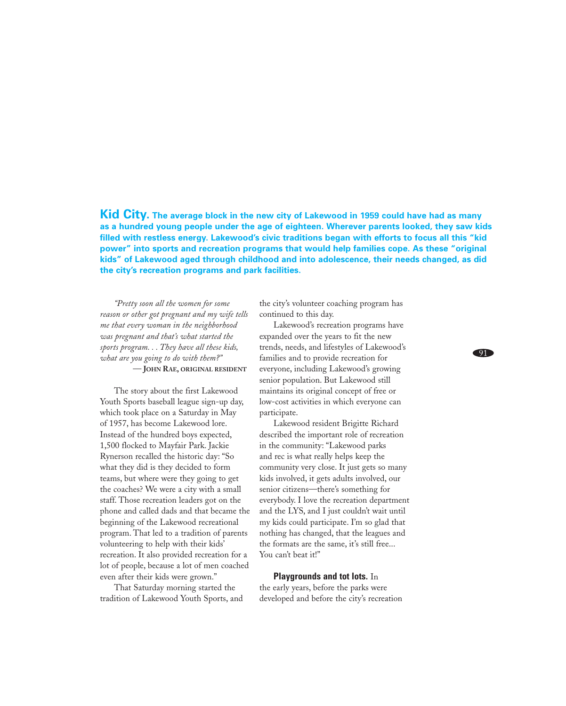**Kid City.** The average block in the new city of Lakewood in 1959 could have had as many as a hundred young people under the age of eighteen. Wherever parents looked, they saw kids filled with restless energy. Lakewood's civic traditions began with efforts to focus all this "kid power" into sports and recreation programs that would help families cope. As these "original kids" of Lakewood aged through childhood and into adolescence, their needs changed, as did the city's recreation programs and park facilities.

"Pretty soon all the women for some reason or other got pregnant and my wife tells me that every woman in the neighborhood was pregnant and that's what started the sports program... They have all these kids, what are you going to do with them?"

- JOHN RAE, ORIGINAL RESIDENT

The story about the first Lakewood Youth Sports baseball league sign-up day, which took place on a Saturday in May of 1957, has become Lakewood lore. Instead of the hundred boys expected, 1,500 flocked to Mayfair Park. Jackie Rynerson recalled the historic day: "So what they did is they decided to form teams, but where were they going to get the coaches? We were a city with a small staff. Those recreation leaders got on the phone and called dads and that became the beginning of the Lakewood recreational program. That led to a tradition of parents volunteering to help with their kids' recreation. It also provided recreation for a lot of people, because a lot of men coached even after their kids were grown."

That Saturday morning started the tradition of Lakewood Youth Sports, and

the city's volunteer coaching program has continued to this day.

Lakewood's recreation programs have expanded over the years to fit the new trends, needs, and lifestyles of Lakewood's families and to provide recreation for everyone, including Lakewood's growing senior population. But Lakewood still maintains its original concept of free or low-cost activities in which everyone can participate.

91

Lakewood resident Brigitte Richard described the important role of recreation in the community: "Lakewood parks and rec is what really helps keep the community very close. It just gets so many kids involved, it gets adults involved, our senior citizens—there's something for everybody. I love the recreation department and the LYS, and I just couldn't wait until my kids could participate. I'm so glad that nothing has changed, that the leagues and the formats are the same, it's still free... You can't beat it!"

## **Plavarounds and tot lots.** In

the early years, before the parks were developed and before the city's recreation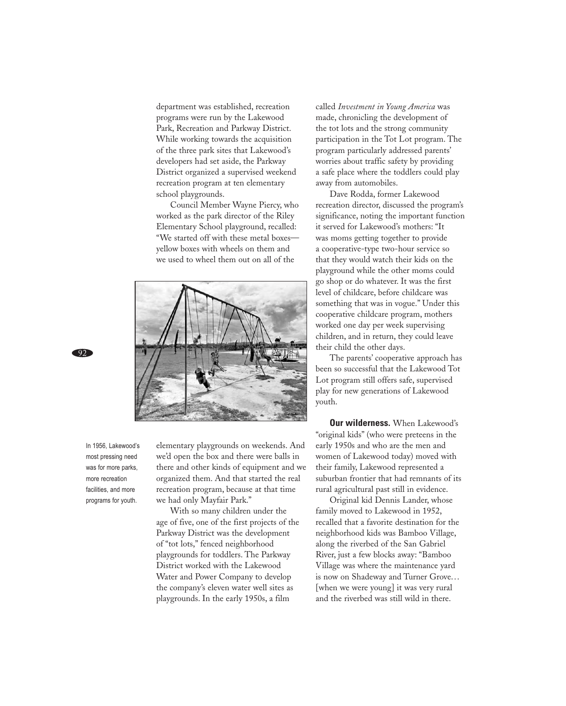department was established, recreation programs were run by the Lakewood Park, Recreation and Parkway District. While working towards the acquisition of the three park sites that Lakewood's developers had set aside, the Parkway District organized a supervised weekend recreation program at ten elementary school playgrounds.

Council Member Wayne Piercy, who worked as the park director of the Riley Elementary School playground, recalled: "We started off with these metal boxesyellow boxes with wheels on them and we used to wheel them out on all of the



92

In 1956, Lakewood's most pressing need was for more parks, more recreation facilities, and more programs for youth.

elementary playgrounds on weekends. And we'd open the box and there were balls in there and other kinds of equipment and we organized them. And that started the real recreation program, because at that time we had only Mayfair Park."

With so many children under the age of five, one of the first projects of the Parkway District was the development of "tot lots," fenced neighborhood playgrounds for toddlers. The Parkway District worked with the Lakewood Water and Power Company to develop the company's eleven water well sites as playgrounds. In the early 1950s, a film

called Investment in Young America was made, chronicling the development of the tot lots and the strong community participation in the Tot Lot program. The program particularly addressed parents' worries about traffic safety by providing a safe place where the toddlers could play away from automobiles.

Dave Rodda, former Lakewood recreation director, discussed the program's significance, noting the important function it served for Lakewood's mothers: "It was moms getting together to provide a cooperative-type two-hour service so that they would watch their kids on the playground while the other moms could go shop or do whatever. It was the first level of childcare, before childcare was something that was in vogue." Under this cooperative childcare program, mothers worked one day per week supervising children, and in return, they could leave their child the other days.

The parents' cooperative approach has been so successful that the Lakewood Tot Lot program still offers safe, supervised play for new generations of Lakewood youth.

**Our wilderness.** When Lakewood's "original kids" (who were preteens in the early 1950s and who are the men and women of Lakewood today) moved with their family, Lakewood represented a suburban frontier that had remnants of its rural agricultural past still in evidence.

Original kid Dennis Lander, whose family moved to Lakewood in 1952, recalled that a favorite destination for the neighborhood kids was Bamboo Village, along the riverbed of the San Gabriel River, just a few blocks away: "Bamboo Village was where the maintenance yard is now on Shadeway and Turner Grove... [when we were young] it was very rural and the riverbed was still wild in there.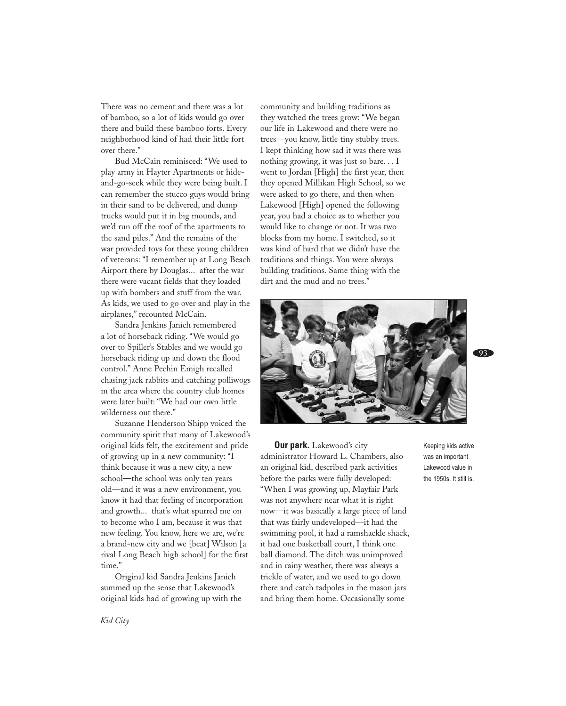There was no cement and there was a lot of bamboo, so a lot of kids would go over there and build these bamboo forts. Every neighborhood kind of had their little fort over there."

Bud McCain reminisced: "We used to play army in Hayter Apartments or hideand-go-seek while they were being built. I can remember the stucco guys would bring in their sand to be delivered, and dump trucks would put it in big mounds, and we'd run off the roof of the apartments to the sand piles." And the remains of the war provided toys for these young children of veterans: "I remember up at Long Beach Airport there by Douglas... after the war there were vacant fields that they loaded up with bombers and stuff from the war. As kids, we used to go over and play in the airplanes," recounted McCain.

Sandra Jenkins Janich remembered a lot of horseback riding. "We would go over to Spiller's Stables and we would go horseback riding up and down the flood control." Anne Pechin Emigh recalled chasing jack rabbits and catching polliwogs in the area where the country club homes were later built: "We had our own little wilderness out there."

Suzanne Henderson Shipp voiced the community spirit that many of Lakewood's original kids felt, the excitement and pride of growing up in a new community: "I think because it was a new city, a new school-the school was only ten years old-and it was a new environment, you know it had that feeling of incorporation and growth... that's what spurred me on to become who I am, because it was that new feeling. You know, here we are, we're a brand-new city and we [beat] Wilson [a rival Long Beach high school] for the first time."

Original kid Sandra Jenkins Janich summed up the sense that Lakewood's original kids had of growing up with the community and building traditions as they watched the trees grow: "We began our life in Lakewood and there were no trees-you know, little tiny stubby trees. I kept thinking how sad it was there was nothing growing, it was just so bare... I went to Jordan [High] the first year, then they opened Millikan High School, so we were asked to go there, and then when Lakewood [High] opened the following year, you had a choice as to whether you would like to change or not. It was two blocks from my home. I switched, so it was kind of hard that we didn't have the traditions and things. You were always building traditions. Same thing with the dirt and the mud and no trees."



**Our park.** Lakewood's city administrator Howard L. Chambers, also an original kid, described park activities before the parks were fully developed: "When I was growing up, Mayfair Park was not anywhere near what it is right now-it was basically a large piece of land that was fairly undeveloped-it had the swimming pool, it had a ramshackle shack, it had one basketball court, I think one ball diamond. The ditch was unimproved and in rainy weather, there was always a trickle of water, and we used to go down there and catch tadpoles in the mason jars and bring them home. Occasionally some

Keeping kids active was an important Lakewood value in the 1950s. It still is.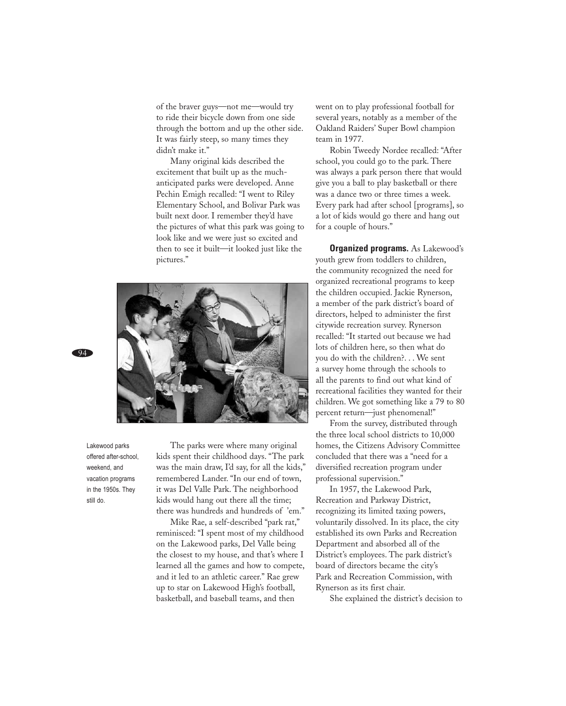of the braver guys-not me-would try to ride their bicycle down from one side through the bottom and up the other side. It was fairly steep, so many times they didn't make it."

Many original kids described the excitement that built up as the muchanticipated parks were developed. Anne Pechin Emigh recalled: "I went to Riley Elementary School, and Bolivar Park was built next door. I remember they'd have the pictures of what this park was going to look like and we were just so excited and then to see it built-it looked just like the pictures."



 $94$ 

Lakewood parks offered after-school, weekend, and vacation programs in the 1950s. They still do.

The parks were where many original kids spent their childhood days. "The park was the main draw, I'd say, for all the kids," remembered Lander. "In our end of town, it was Del Valle Park. The neighborhood kids would hang out there all the time; there was hundreds and hundreds of 'em."

Mike Rae, a self-described "park rat," reminisced: "I spent most of my childhood on the Lakewood parks, Del Valle being the closest to my house, and that's where I learned all the games and how to compete, and it led to an athletic career." Rae grew up to star on Lakewood High's football, basketball, and baseball teams, and then

went on to play professional football for several years, notably as a member of the Oakland Raiders' Super Bowl champion team in 1977.

Robin Tweedy Nordee recalled: "After school, you could go to the park. There was always a park person there that would give you a ball to play basketball or there was a dance two or three times a week. Every park had after school [programs], so a lot of kids would go there and hang out for a couple of hours."

**Organized programs.** As Lakewood's youth grew from toddlers to children, the community recognized the need for organized recreational programs to keep the children occupied. Jackie Rynerson, a member of the park district's board of directors, helped to administer the first citywide recreation survey. Rynerson recalled: "It started out because we had lots of children here, so then what do you do with the children?... We sent a survey home through the schools to all the parents to find out what kind of recreational facilities they wanted for their children. We got something like a 79 to 80 percent return-just phenomenal!"

From the survey, distributed through the three local school districts to 10,000 homes, the Citizens Advisory Committee concluded that there was a "need for a diversified recreation program under professional supervision."

In 1957, the Lakewood Park, Recreation and Parkway District, recognizing its limited taxing powers, voluntarily dissolved. In its place, the city established its own Parks and Recreation Department and absorbed all of the District's employees. The park district's board of directors became the city's Park and Recreation Commission, with Rynerson as its first chair.

She explained the district's decision to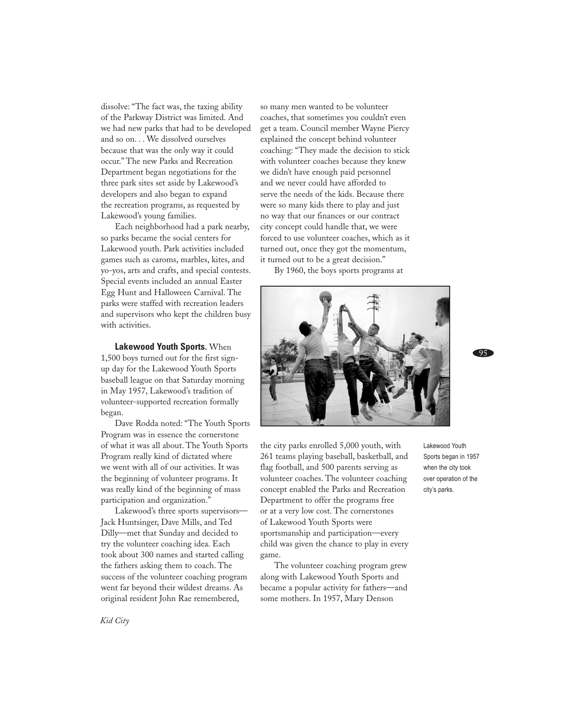dissolve: "The fact was, the taxing ability of the Parkway District was limited. And we had new parks that had to be developed and so on... We dissolved ourselves because that was the only way it could occur." The new Parks and Recreation Department began negotiations for the three park sites set aside by Lakewood's developers and also began to expand the recreation programs, as requested by Lakewood's young families.

Each neighborhood had a park nearby, so parks became the social centers for Lakewood youth. Park activities included games such as caroms, marbles, kites, and yo-yos, arts and crafts, and special contests. Special events included an annual Easter Egg Hunt and Halloween Carnival. The parks were staffed with recreation leaders and supervisors who kept the children busy with activities.

Lakewood Youth Sports. When 1,500 boys turned out for the first signup day for the Lakewood Youth Sports baseball league on that Saturday morning in May 1957, Lakewood's tradition of volunteer-supported recreation formally began.

Dave Rodda noted: "The Youth Sports Program was in essence the cornerstone of what it was all about. The Youth Sports Program really kind of dictated where we went with all of our activities. It was the beginning of volunteer programs. It was really kind of the beginning of mass participation and organization."

Lakewood's three sports supervisors-Jack Huntsinger, Dave Mills, and Ted Dilly-met that Sunday and decided to try the volunteer coaching idea. Each took about 300 names and started calling the fathers asking them to coach. The success of the volunteer coaching program went far beyond their wildest dreams. As original resident John Rae remembered,

so many men wanted to be volunteer coaches, that sometimes you couldn't even get a team. Council member Wayne Piercy explained the concept behind volunteer coaching: "They made the decision to stick with volunteer coaches because they knew we didn't have enough paid personnel and we never could have afforded to serve the needs of the kids. Because there were so many kids there to play and just no way that our finances or our contract city concept could handle that, we were forced to use volunteer coaches, which as it turned out, once they got the momentum, it turned out to be a great decision."

By 1960, the boys sports programs at



the city parks enrolled 5,000 youth, with 261 teams playing baseball, basketball, and flag football, and 500 parents serving as volunteer coaches. The volunteer coaching concept enabled the Parks and Recreation Department to offer the programs free or at a very low cost. The cornerstones of Lakewood Youth Sports were sportsmanship and participation-every child was given the chance to play in every game.

The volunteer coaching program grew along with Lakewood Youth Sports and became a popular activity for fathers-and some mothers. In 1957, Mary Denson

Lakewood Youth Sports began in 1957 when the city took over operation of the city's parks.

95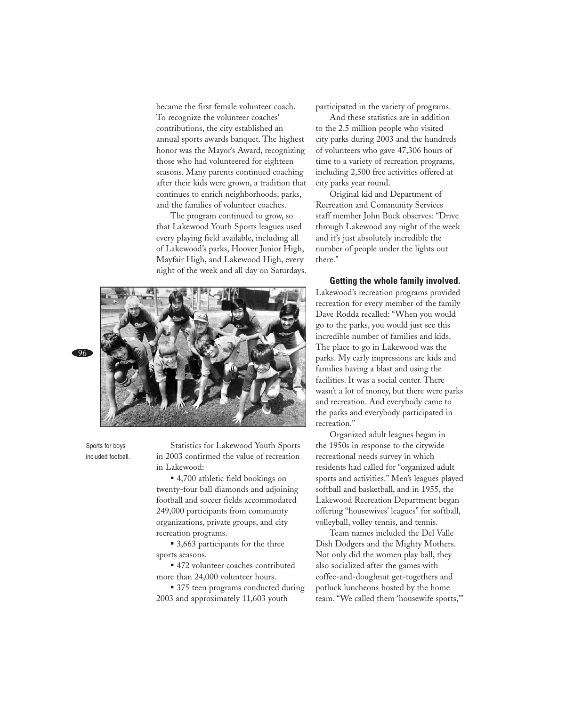became the first female volunteer coach. To recognize the volunteer coaches' contributions, the city established an annual sports awards banquet. The highest honor was the Mayor's Award, recognizing those who had volunteered for eighteen seasons. Many parents continued coaching after their kids were grown, a tradition that continues to enrich neighborhoods, parks, and the families of volunteer coaches.

The program continued to grow, so that Lakewood Youth Sports leagues used every playing field available, including all of Lakewood's parks, Hoover Junior High, Mayfair High, and Lakewood High, every night of the week and all day on Saturdays.



Sports for boys included football.

Statistics for Lakewood Youth Sports in 2003 confirmed the value of recreation in Lakewood:

■ 4,700 athletic field bookings on twenty-four ball diamonds and adjoining football and soccer fields accommodated 249,000 participants from community organizations, private groups, and city recreation programs.

■ 3,663 participants for the three sports seasons.

■ 472 volunteer coaches contributed more than 24,000 volunteer hours.

■ 375 teen programs conducted during 2003 and approximately 11,603 youth

participated in the variety of programs.

And these statistics are in addition to the 2.5 million people who visited city parks during 2003 and the hundreds of volunteers who gave 47,306 hours of time to a variety of recreation programs, including 2,500 free activities offered at city parks year round.

Original kid and Department of Recreation and Community Services staff member John Buck observes: "Drive through Lakewood any night of the week and it's just absolutely incredible the number of people under the lights out there."

**Getting the whole family involved.** Lakewood's recreation programs provided recreation for every member of the family Dave Rodda recalled: "When you would go to the parks, you would just see this incredible number of families and kids. The place to go in Lakewood was the parks. My early impressions are kids and families having a blast and using the facilities. It was a social center. There wasn't a lot of money, but there were parks and recreation. And everybody came to the parks and everybody participated in recreation."

Organized adult leagues began in the 1950s in response to the citywide recreational needs survey in which residents had called for "organized adult sports and activities." Men's leagues played softball and basketball, and in 1955, the Lakewood Recreation Department began offering "housewives' leagues" for softball, volleyball, volley tennis, and tennis.

Team names included the Del Valle Dish Dodgers and the Mighty Mothers. Not only did the women play ball, they also socialized after the games with coffee-and-doughnut get-togethers and potluck luncheons hosted by the home team. "We called them 'housewife sports,"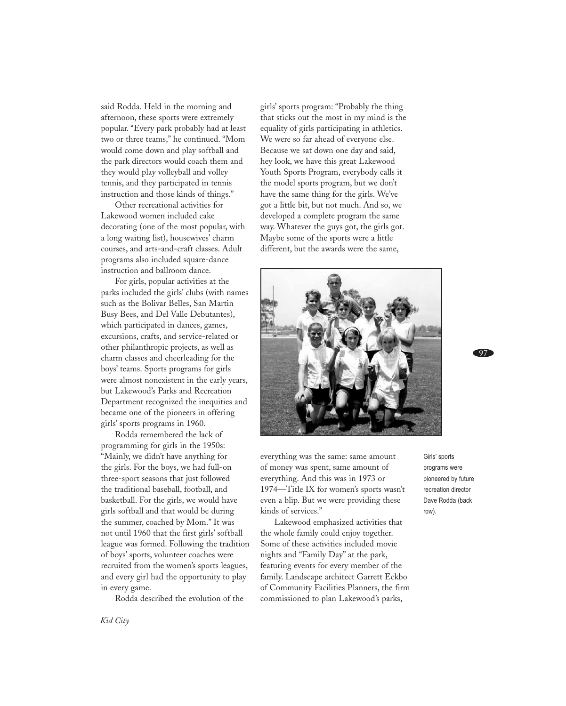said Rodda. Held in the morning and afternoon, these sports were extremely popular. "Every park probably had at least two or three teams," he continued. "Mom would come down and play softball and the park directors would coach them and they would play volleyball and volley tennis, and they participated in tennis instruction and those kinds of things."

Other recreational activities for Lakewood women included cake decorating (one of the most popular, with a long waiting list), housewives' charm courses, and arts-and-craft classes. Adult programs also included square-dance instruction and ballroom dance.

For girls, popular activities at the parks included the girls' clubs (with names such as the Bolivar Belles, San Martin Busy Bees, and Del Valle Debutantes), which participated in dances, games, excursions, crafts, and service-related or other philanthropic projects, as well as charm classes and cheerleading for the boys' teams. Sports programs for girls were almost nonexistent in the early years, but Lakewood's Parks and Recreation Department recognized the inequities and became one of the pioneers in offering girls' sports programs in 1960.

Rodda remembered the lack of programming for girls in the 1950s: "Mainly, we didn't have anything for the girls. For the boys, we had full-on three-sport seasons that just followed the traditional baseball, football, and basketball. For the girls, we would have girls softball and that would be during the summer, coached by Mom." It was not until 1960 that the first girls' softball league was formed. Following the tradition of boys' sports, volunteer coaches were recruited from the women's sports leagues, and every girl had the opportunity to play in every game.

Rodda described the evolution of the

girls' sports program: "Probably the thing that sticks out the most in my mind is the equality of girls participating in athletics. We were so far ahead of everyone else. Because we sat down one day and said, hey look, we have this great Lakewood Youth Sports Program, everybody calls it the model sports program, but we don't have the same thing for the girls. We've got a little bit, but not much. And so, we developed a complete program the same way. Whatever the guys got, the girls got. Maybe some of the sports were a little different, but the awards were the same,



everything was the same: same amount of money was spent, same amount of everything. And this was in 1973 or 1974-Title IX for women's sports wasn't even a blip. But we were providing these kinds of services."

Lakewood emphasized activities that the whole family could enjoy together. Some of these activities included movie nights and "Family Day" at the park, featuring events for every member of the family. Landscape architect Garrett Eckbo of Community Facilities Planners, the firm commissioned to plan Lakewood's parks,

Girls' sports programs were pioneered by future recreation director Dave Rodda (back row).

97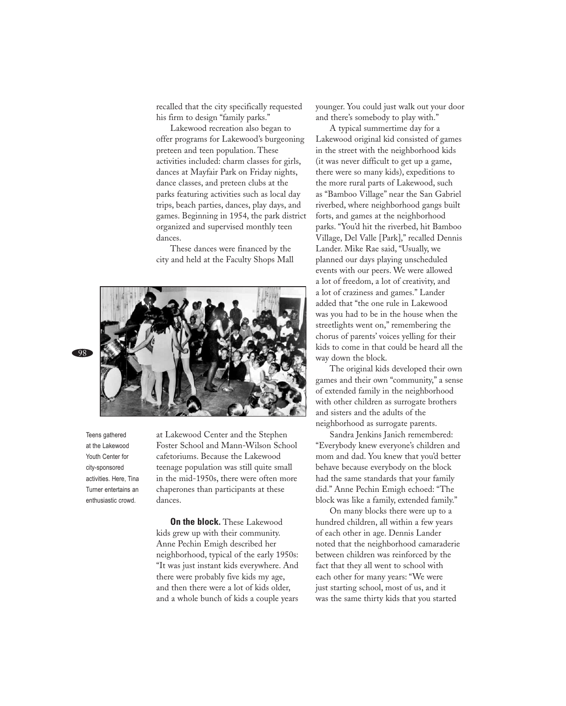recalled that the city specifically requested his firm to design "family parks."

Lakewood recreation also began to offer programs for Lakewood's burgeoning preteen and teen population. These activities included: charm classes for girls, dances at Mayfair Park on Friday nights, dance classes, and preteen clubs at the parks featuring activities such as local day trips, beach parties, dances, play days, and games. Beginning in 1954, the park district organized and supervised monthly teen dances.

These dances were financed by the city and held at the Faculty Shops Mall



Teens gathered at the Lakewood Youth Center for city-sponsored activities. Here, Tina Turner entertains an enthusiastic crowd.

at Lakewood Center and the Stephen Foster School and Mann-Wilson School cafetoriums. Because the Lakewood teenage population was still quite small in the mid-1950s, there were often more chaperones than participants at these dances.

On the block. These Lakewood kids grew up with their community. Anne Pechin Emigh described her neighborhood, typical of the early 1950s: "It was just instant kids everywhere. And there were probably five kids my age, and then there were a lot of kids older, and a whole bunch of kids a couple years younger. You could just walk out your door and there's somebody to play with."

A typical summertime day for a Lakewood original kid consisted of games in the street with the neighborhood kids (it was never difficult to get up a game, there were so many kids), expeditions to the more rural parts of Lakewood, such as "Bamboo Village" near the San Gabriel riverbed, where neighborhood gangs built forts, and games at the neighborhood parks. "You'd hit the riverbed, hit Bamboo Village, Del Valle [Park]," recalled Dennis Lander. Mike Rae said, "Usually, we planned our days playing unscheduled events with our peers. We were allowed a lot of freedom, a lot of creativity, and a lot of craziness and games." Lander added that "the one rule in Lakewood was you had to be in the house when the streetlights went on," remembering the chorus of parents' voices yelling for their kids to come in that could be heard all the way down the block.

The original kids developed their own games and their own "community," a sense of extended family in the neighborhood with other children as surrogate brothers and sisters and the adults of the neighborhood as surrogate parents.

Sandra Jenkins Janich remembered: "Everybody knew everyone's children and mom and dad. You knew that you'd better behave because everybody on the block had the same standards that your family did." Anne Pechin Emigh echoed: "The block was like a family, extended family."

On many blocks there were up to a hundred children, all within a few years of each other in age. Dennis Lander noted that the neighborhood camaraderie between children was reinforced by the fact that they all went to school with each other for many years: "We were just starting school, most of us, and it was the same thirty kids that you started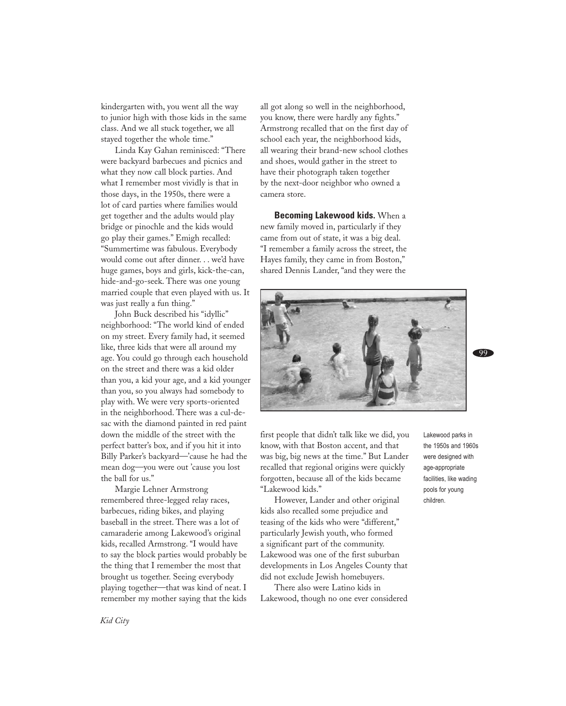kindergarten with, you went all the way to junior high with those kids in the same class. And we all stuck together, we all stayed together the whole time."

Linda Kay Gahan reminisced: "There were backyard barbecues and picnics and what they now call block parties. And what I remember most vividly is that in those days, in the 1950s, there were a lot of card parties where families would get together and the adults would play bridge or pinochle and the kids would go play their games." Emigh recalled: "Summertime was fabulous. Everybody would come out after dinner... we'd have huge games, boys and girls, kick-the-can, hide-and-go-seek. There was one young married couple that even played with us. It was just really a fun thing."

John Buck described his "idyllic" neighborhood: "The world kind of ended on my street. Every family had, it seemed like, three kids that were all around my age. You could go through each household on the street and there was a kid older than you, a kid your age, and a kid younger than you, so you always had somebody to play with. We were very sports-oriented in the neighborhood. There was a cul-desac with the diamond painted in red paint down the middle of the street with the perfect batter's box, and if you hit it into Billy Parker's backyard-'cause he had the mean dog-you were out 'cause you lost the ball for us."

Margie Lehner Armstrong remembered three-legged relay races, barbecues, riding bikes, and playing baseball in the street. There was a lot of camaraderie among Lakewood's original kids, recalled Armstrong. "I would have to say the block parties would probably be the thing that I remember the most that brought us together. Seeing everybody playing together-that was kind of neat. I remember my mother saying that the kids all got along so well in the neighborhood, you know, there were hardly any fights." Armstrong recalled that on the first day of school each year, the neighborhood kids, all wearing their brand-new school clothes and shoes, would gather in the street to have their photograph taken together by the next-door neighbor who owned a camera store.

**Becoming Lakewood kids.** When a new family moved in, particularly if they came from out of state, it was a big deal. "I remember a family across the street, the Hayes family, they came in from Boston," shared Dennis Lander, "and they were the



first people that didn't talk like we did, you know, with that Boston accent, and that was big, big news at the time." But Lander recalled that regional origins were quickly forgotten, because all of the kids became "Lakewood kids."

However, Lander and other original kids also recalled some prejudice and teasing of the kids who were "different," particularly Jewish youth, who formed a significant part of the community. Lakewood was one of the first suburban developments in Los Angeles County that did not exclude Jewish homebuyers.

There also were Latino kids in Lakewood, though no one ever considered Lakewood parks in the 1950s and 1960s were designed with age-appropriate facilities, like wading pools for young children.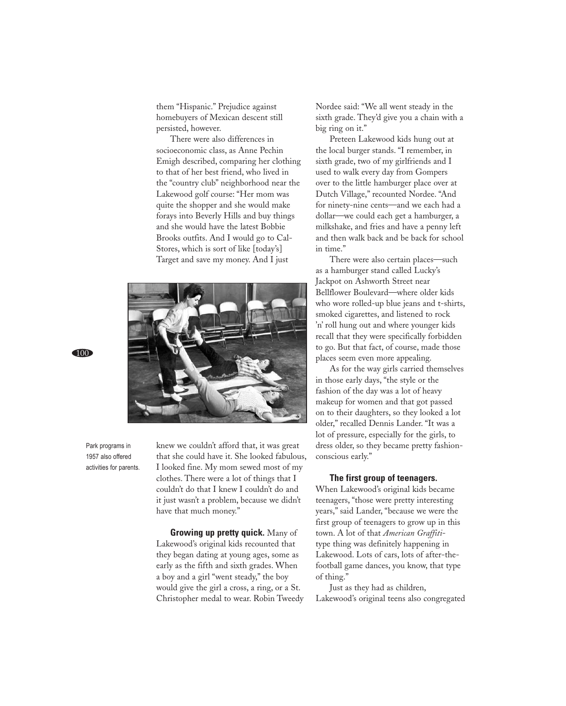them "Hispanic." Prejudice against homebuyers of Mexican descent still persisted, however.

There were also differences in socioeconomic class, as Anne Pechin Emigh described, comparing her clothing to that of her best friend, who lived in the "country club" neighborhood near the Lakewood golf course: "Her mom was quite the shopper and she would make forays into Beverly Hills and buy things and she would have the latest Bobbie Brooks outfits. And I would go to Cal-Stores, which is sort of like [today's] Target and save my money. And I just



Park programs in 1957 also offered activities for parents. knew we couldn't afford that, it was great that she could have it. She looked fabulous, I looked fine. My mom sewed most of my clothes. There were a lot of things that I couldn't do that I knew I couldn't do and it just wasn't a problem, because we didn't have that much money."

Growing up pretty quick. Many of Lakewood's original kids recounted that they began dating at young ages, some as early as the fifth and sixth grades. When a boy and a girl "went steady," the boy would give the girl a cross, a ring, or a St. Christopher medal to wear. Robin Tweedy Nordee said: "We all went steady in the sixth grade. They'd give you a chain with a big ring on it."

Preteen Lakewood kids hung out at the local burger stands. "I remember, in sixth grade, two of my girlfriends and I used to walk every day from Gompers over to the little hamburger place over at Dutch Village," recounted Nordee. "And for ninety-nine cents-and we each had a dollar—we could each get a hamburger, a milkshake, and fries and have a penny left and then walk back and be back for school in time."

There were also certain places—such as a hamburger stand called Lucky's Jackpot on Ashworth Street near Bellflower Boulevard-where older kids who wore rolled-up blue jeans and t-shirts, smoked cigarettes, and listened to rock 'n' roll hung out and where younger kids recall that they were specifically forbidden to go. But that fact, of course, made those places seem even more appealing.

As for the way girls carried themselves in those early days, "the style or the fashion of the day was a lot of heavy makeup for women and that got passed on to their daughters, so they looked a lot older," recalled Dennis Lander. "It was a lot of pressure, especially for the girls, to dress older, so they became pretty fashionconscious early."

# The first group of teenagers.

When Lakewood's original kids became teenagers, "those were pretty interesting years," said Lander, "because we were the first group of teenagers to grow up in this town. A lot of that American Graffititype thing was definitely happening in Lakewood. Lots of cars, lots of after-thefootball game dances, you know, that type of thing."

Just as they had as children, Lakewood's original teens also congregated

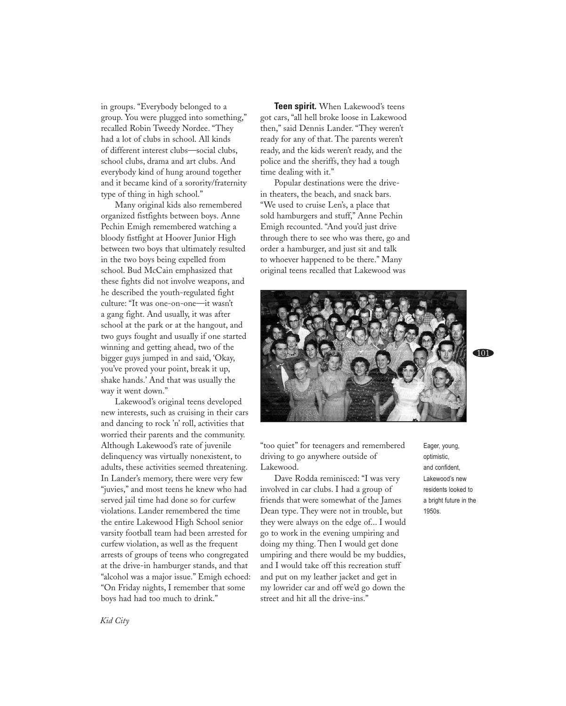in groups. "Everybody belonged to a group. You were plugged into something,' recalled Robin Tweedy Nordee. "They had a lot of clubs in school. All kinds of different interest clubs—social clubs. school clubs, drama and art clubs. And everybody kind of hung around together and it became kind of a sorority/fraternity type of thing in high school."

Many original kids also remembered organized fistfights between boys. Anne Pechin Emigh remembered watching a bloody fistfight at Hoover Junior High between two boys that ultimately resulted in the two boys being expelled from school. Bud McCain emphasized that these fights did not involve weapons, and he described the youth-regulated fight culture: "It was one-on-one-it wasn't a gang fight. And usually, it was after school at the park or at the hangout, and two guys fought and usually if one started winning and getting ahead, two of the bigger guys jumped in and said, 'Okay, you've proved your point, break it up, shake hands.' And that was usually the way it went down."

Lakewood's original teens developed new interests, such as cruising in their cars and dancing to rock 'n' roll, activities that worried their parents and the community. Although Lakewood's rate of juvenile delinquency was virtually nonexistent, to adults, these activities seemed threatening. In Lander's memory, there were very few "juvies," and most teens he knew who had served jail time had done so for curfew violations. Lander remembered the time the entire Lakewood High School senior varsity football team had been arrested for curfew violation, as well as the frequent arrests of groups of teens who congregated at the drive-in hamburger stands, and that "alcohol was a major issue." Emigh echoed: "On Friday nights, I remember that some boys had had too much to drink."

**Teen spirit.** When Lakewood's teens got cars, "all hell broke loose in Lakewood then," said Dennis Lander. "They weren't ready for any of that. The parents weren't ready, and the kids weren't ready, and the police and the sheriffs, they had a tough time dealing with it."

Popular destinations were the drivein theaters, the beach, and snack bars. "We used to cruise Len's, a place that sold hamburgers and stuff," Anne Pechin Emigh recounted. "And you'd just drive through there to see who was there, go and order a hamburger, and just sit and talk to whoever happened to be there." Many original teens recalled that Lakewood was



"too quiet" for teenagers and remembered driving to go anywhere outside of Lakewood.

Dave Rodda reminisced: "I was very involved in car clubs. I had a group of friends that were somewhat of the James Dean type. They were not in trouble, but they were always on the edge of... I would go to work in the evening umpiring and doing my thing. Then I would get done umpiring and there would be my buddies, and I would take off this recreation stuff and put on my leather jacket and get in my lowrider car and off we'd go down the street and hit all the drive-ins."

Eager, young, optimistic. and confident. Lakewood's new residents looked to a bright future in the 1950s.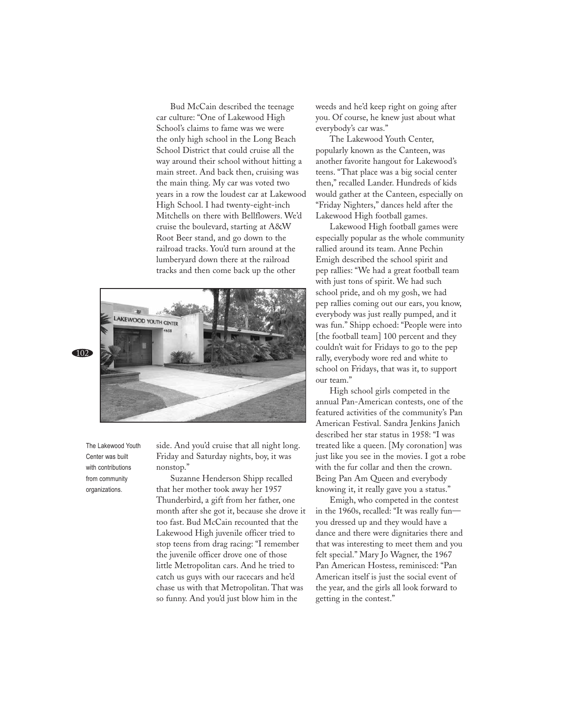Bud McCain described the teenage car culture: "One of Lakewood High School's claims to fame was we were the only high school in the Long Beach School District that could cruise all the way around their school without hitting a main street. And back then, cruising was the main thing. My car was voted two years in a row the loudest car at Lakewood High School. I had twenty-eight-inch Mitchells on there with Bellflowers. We'd cruise the boulevard, starting at A&W Root Beer stand, and go down to the railroad tracks. You'd turn around at the lumberyard down there at the railroad tracks and then come back up the other



The Lakewood Youth Center was built with contributions from community organizations.

side. And you'd cruise that all night long. Friday and Saturday nights, boy, it was nonstop."

Suzanne Henderson Shipp recalled that her mother took away her 1957 Thunderbird, a gift from her father, one month after she got it, because she drove it too fast. Bud McCain recounted that the Lakewood High juvenile officer tried to stop teens from drag racing: "I remember the juvenile officer drove one of those little Metropolitan cars. And he tried to catch us guys with our racecars and he'd chase us with that Metropolitan. That was so funny. And you'd just blow him in the

weeds and he'd keep right on going after you. Of course, he knew just about what everybody's car was."

The Lakewood Youth Center, popularly known as the Canteen, was another favorite hangout for Lakewood's teens. "That place was a big social center then," recalled Lander. Hundreds of kids would gather at the Canteen, especially on "Friday Nighters," dances held after the Lakewood High football games.

Lakewood High football games were especially popular as the whole community rallied around its team. Anne Pechin Emigh described the school spirit and pep rallies: "We had a great football team with just tons of spirit. We had such school pride, and oh my gosh, we had pep rallies coming out our ears, you know, everybody was just really pumped, and it was fun." Shipp echoed: "People were into [the football team] 100 percent and they couldn't wait for Fridays to go to the pep rally, everybody wore red and white to school on Fridays, that was it, to support our team."

High school girls competed in the annual Pan-American contests, one of the featured activities of the community's Pan American Festival. Sandra Jenkins Janich described her star status in 1958: "I was treated like a queen. [My coronation] was just like you see in the movies. I got a robe with the fur collar and then the crown. Being Pan Am Queen and everybody knowing it, it really gave you a status."

Emigh, who competed in the contest in the 1960s, recalled: "It was really funyou dressed up and they would have a dance and there were dignitaries there and that was interesting to meet them and you felt special." Mary Jo Wagner, the 1967 Pan American Hostess, reminisced: "Pan American itself is just the social event of the year, and the girls all look forward to getting in the contest."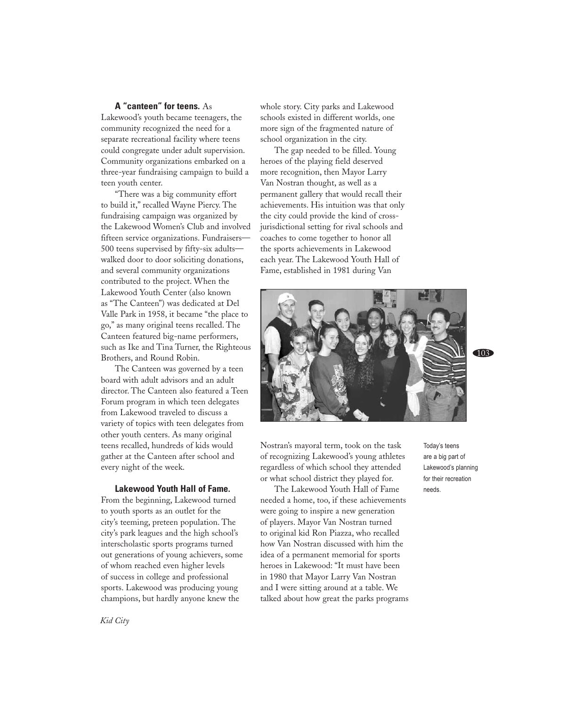## A "canteen" for teens. As

Lakewood's youth became teenagers, the community recognized the need for a separate recreational facility where teens could congregate under adult supervision. Community organizations embarked on a three-year fundraising campaign to build a teen youth center.

"There was a big community effort to build it," recalled Wayne Piercy. The fundraising campaign was organized by the Lakewood Women's Club and involved fifteen service organizations. Fundraisers-500 teens supervised by fifty-six adults walked door to door soliciting donations, and several community organizations contributed to the project. When the Lakewood Youth Center (also known as "The Canteen") was dedicated at Del Valle Park in 1958, it became "the place to go," as many original teens recalled. The Canteen featured big-name performers, such as Ike and Tina Turner, the Righteous Brothers, and Round Robin.

The Canteen was governed by a teen board with adult advisors and an adult director. The Canteen also featured a Teen Forum program in which teen delegates from Lakewood traveled to discuss a variety of topics with teen delegates from other youth centers. As many original teens recalled, hundreds of kids would gather at the Canteen after school and every night of the week.

### **Lakewood Youth Hall of Fame.**

From the beginning, Lakewood turned to youth sports as an outlet for the city's teeming, preteen population. The city's park leagues and the high school's interscholastic sports programs turned out generations of young achievers, some of whom reached even higher levels of success in college and professional sports. Lakewood was producing young champions, but hardly anyone knew the

whole story. City parks and Lakewood schools existed in different worlds, one more sign of the fragmented nature of school organization in the city.

The gap needed to be filled. Young heroes of the playing field deserved more recognition, then Mayor Larry Van Nostran thought, as well as a permanent gallery that would recall their achievements. His intuition was that only the city could provide the kind of crossjurisdictional setting for rival schools and coaches to come together to honor all the sports achievements in Lakewood each year. The Lakewood Youth Hall of Fame, established in 1981 during Van



Nostran's mayoral term, took on the task of recognizing Lakewood's young athletes regardless of which school they attended or what school district they played for.

The Lakewood Youth Hall of Fame needed a home, too, if these achievements were going to inspire a new generation of players. Mayor Van Nostran turned to original kid Ron Piazza, who recalled how Van Nostran discussed with him the idea of a permanent memorial for sports heroes in Lakewood: "It must have been in 1980 that Mayor Larry Van Nostran and I were sitting around at a table. We talked about how great the parks programs

Today's teens are a big part of Lakewood's planning for their recreation needs.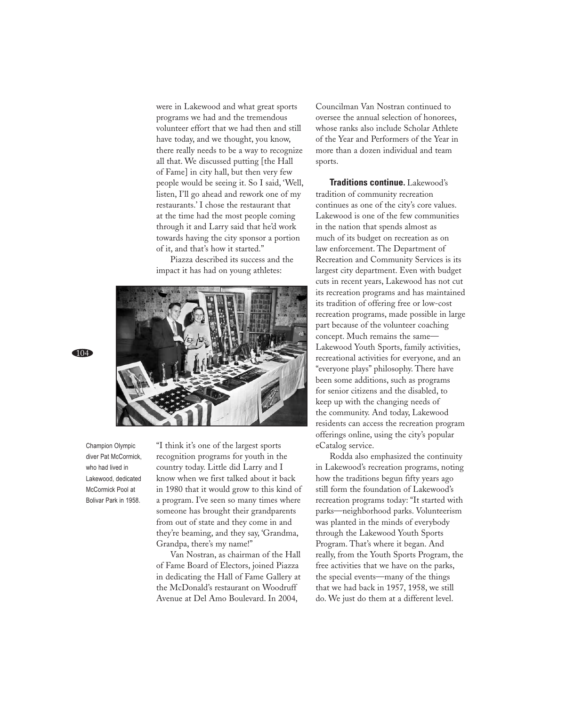were in Lakewood and what great sports programs we had and the tremendous volunteer effort that we had then and still have today, and we thought, you know, there really needs to be a way to recognize all that. We discussed putting [the Hall of Fame] in city hall, but then very few people would be seeing it. So I said, 'Well, listen, I'll go ahead and rework one of my restaurants.' I chose the restaurant that at the time had the most people coming through it and Larry said that he'd work towards having the city sponsor a portion of it, and that's how it started."

Piazza described its success and the impact it has had on young athletes:



 $104$ 

**Champion Olympic** diver Pat McCormick. who had lived in Lakewood, dedicated McCormick Pool at Bolivar Park in 1958.

"I think it's one of the largest sports recognition programs for youth in the country today. Little did Larry and I know when we first talked about it back in 1980 that it would grow to this kind of a program. I've seen so many times where someone has brought their grandparents from out of state and they come in and they're beaming, and they say, 'Grandma, Grandpa, there's my name!"

Van Nostran, as chairman of the Hall of Fame Board of Electors, joined Piazza in dedicating the Hall of Fame Gallery at the McDonald's restaurant on Woodruff Avenue at Del Amo Boulevard. In 2004,

Councilman Van Nostran continued to oversee the annual selection of honorees. whose ranks also include Scholar Athlete of the Year and Performers of the Year in more than a dozen individual and team sports.

Traditions continue. Lakewood's tradition of community recreation continues as one of the city's core values. Lakewood is one of the few communities in the nation that spends almost as much of its budget on recreation as on law enforcement. The Department of Recreation and Community Services is its largest city department. Even with budget cuts in recent years, Lakewood has not cut its recreation programs and has maintained its tradition of offering free or low-cost recreation programs, made possible in large part because of the volunteer coaching concept. Much remains the same-Lakewood Youth Sports, family activities, recreational activities for everyone, and an "everyone plays" philosophy. There have been some additions, such as programs for senior citizens and the disabled, to keep up with the changing needs of the community. And today, Lakewood residents can access the recreation program offerings online, using the city's popular eCatalog service.

Rodda also emphasized the continuity in Lakewood's recreation programs, noting how the traditions begun fifty years ago still form the foundation of Lakewood's recreation programs today: "It started with parks-neighborhood parks. Volunteerism was planted in the minds of everybody through the Lakewood Youth Sports Program. That's where it began. And really, from the Youth Sports Program, the free activities that we have on the parks, the special events—many of the things that we had back in 1957, 1958, we still do. We just do them at a different level.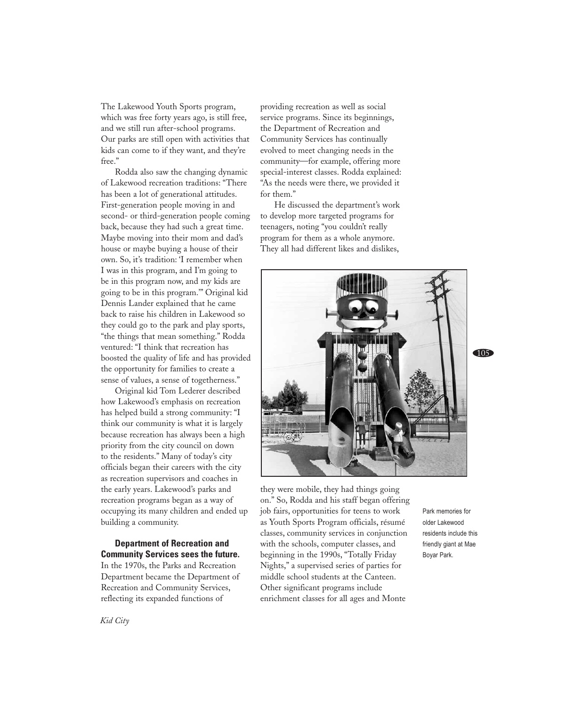The Lakewood Youth Sports program, which was free forty years ago, is still free, and we still run after-school programs. Our parks are still open with activities that kids can come to if they want, and they're free."

Rodda also saw the changing dynamic of Lakewood recreation traditions: "There has been a lot of generational attitudes. First-generation people moving in and second- or third-generation people coming back, because they had such a great time. Maybe moving into their mom and dad's house or maybe buying a house of their own. So, it's tradition: 'I remember when I was in this program, and I'm going to be in this program now, and my kids are going to be in this program." Original kid Dennis Lander explained that he came back to raise his children in Lakewood so they could go to the park and play sports, "the things that mean something." Rodda ventured: "I think that recreation has boosted the quality of life and has provided the opportunity for families to create a sense of values, a sense of togetherness."

Original kid Tom Lederer described how Lakewood's emphasis on recreation has helped build a strong community: "I think our community is what it is largely because recreation has always been a high priority from the city council on down to the residents." Many of today's city officials began their careers with the city as recreation supervisors and coaches in the early years. Lakewood's parks and recreation programs began as a way of occupying its many children and ended up building a community.

**Department of Recreation and Community Services sees the future.** In the 1970s, the Parks and Recreation Department became the Department of Recreation and Community Services, reflecting its expanded functions of

providing recreation as well as social service programs. Since its beginnings, the Department of Recreation and Community Services has continually evolved to meet changing needs in the community-for example, offering more special-interest classes. Rodda explained: "As the needs were there, we provided it for them."

He discussed the department's work to develop more targeted programs for teenagers, noting "you couldn't really program for them as a whole anymore. They all had different likes and dislikes,



they were mobile, they had things going on." So, Rodda and his staff began offering job fairs, opportunities for teens to work as Youth Sports Program officials, résumé classes, community services in conjunction with the schools, computer classes, and beginning in the 1990s, "Totally Friday Nights," a supervised series of parties for middle school students at the Canteen. Other significant programs include enrichment classes for all ages and Monte

Park memories for older Lakewood residents include this friendly giant at Mae Boyar Park.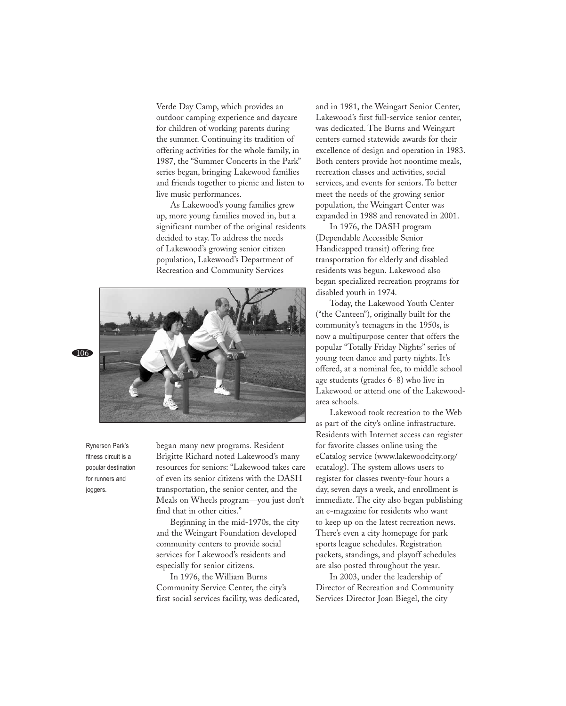Verde Day Camp, which provides an outdoor camping experience and daycare for children of working parents during the summer. Continuing its tradition of offering activities for the whole family, in 1987, the "Summer Concerts in the Park" series began, bringing Lakewood families and friends together to picnic and listen to live music performances.

As Lakewood's young families grew up, more young families moved in, but a significant number of the original residents decided to stay. To address the needs of Lakewood's growing senior citizen population, Lakewood's Department of Recreation and Community Services



Rynerson Park's fitness circuit is a popular destination for runners and joggers.

began many new programs. Resident Brigitte Richard noted Lakewood's many resources for seniors: "Lakewood takes care of even its senior citizens with the DASH transportation, the senior center, and the Meals on Wheels program-you just don't find that in other cities."

Beginning in the mid-1970s, the city and the Weingart Foundation developed community centers to provide social services for Lakewood's residents and especially for senior citizens.

In 1976, the William Burns Community Service Center, the city's first social services facility, was dedicated,

and in 1981, the Weingart Senior Center, Lakewood's first full-service senior center, was dedicated. The Burns and Weingart centers earned statewide awards for their excellence of design and operation in 1983. Both centers provide hot noontime meals, recreation classes and activities, social services, and events for seniors. To better meet the needs of the growing senior population, the Weingart Center was expanded in 1988 and renovated in 2001.

In 1976, the DASH program (Dependable Accessible Senior Handicapped transit) offering free transportation for elderly and disabled residents was begun. Lakewood also began specialized recreation programs for disabled youth in 1974.

Today, the Lakewood Youth Center ("the Canteen"), originally built for the community's teenagers in the 1950s, is now a multipurpose center that offers the popular "Totally Friday Nights" series of young teen dance and party nights. It's offered, at a nominal fee, to middle school age students (grades 6-8) who live in Lakewood or attend one of the Lakewoodarea schools.

Lakewood took recreation to the Web as part of the city's online infrastructure. Residents with Internet access can register for favorite classes online using the eCatalog service (www.lakewoodcity.org/ ecatalog). The system allows users to register for classes twenty-four hours a day, seven days a week, and enrollment is immediate. The city also began publishing an e-magazine for residents who want to keep up on the latest recreation news. There's even a city homepage for park sports league schedules. Registration packets, standings, and playoff schedules are also posted throughout the year.

In 2003, under the leadership of Director of Recreation and Community Services Director Joan Biegel, the city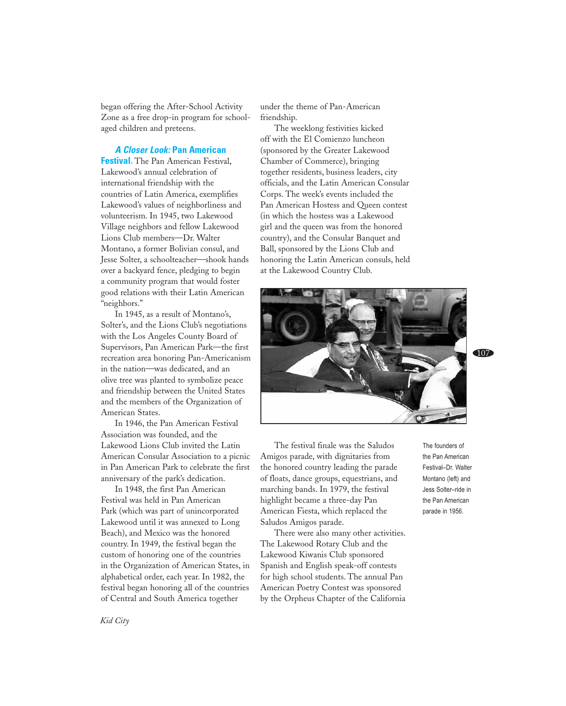began offering the After-School Activity Zone as a free drop-in program for schoolaged children and preteens.

### **A Closer Look: Pan American**

**Festival.** The Pan American Festival, Lakewood's annual celebration of international friendship with the countries of Latin America, exemplifies Lakewood's values of neighborliness and volunteerism. In 1945, two Lakewood Village neighbors and fellow Lakewood Lions Club members-Dr. Walter Montano, a former Bolivian consul, and Jesse Solter, a schoolteacher-shook hands over a backyard fence, pledging to begin a community program that would foster good relations with their Latin American "neighbors."

In 1945, as a result of Montano's, Solter's, and the Lions Club's negotiations with the Los Angeles County Board of Supervisors, Pan American Park-the first recreation area honoring Pan-Americanism in the nation-was dedicated, and an olive tree was planted to symbolize peace and friendship between the United States and the members of the Organization of American States.

In 1946, the Pan American Festival Association was founded, and the Lakewood Lions Club invited the Latin American Consular Association to a picnic in Pan American Park to celebrate the first anniversary of the park's dedication.

In 1948, the first Pan American Festival was held in Pan American Park (which was part of unincorporated Lakewood until it was annexed to Long Beach), and Mexico was the honored country. In 1949, the festival began the custom of honoring one of the countries in the Organization of American States, in alphabetical order, each year. In 1982, the festival began honoring all of the countries of Central and South America together

under the theme of Pan-American friendship.

The weeklong festivities kicked off with the El Comienzo luncheon (sponsored by the Greater Lakewood Chamber of Commerce), bringing together residents, business leaders, city officials, and the Latin American Consular Corps. The week's events included the Pan American Hostess and Queen contest (in which the hostess was a Lakewood girl and the queen was from the honored country), and the Consular Banquet and Ball, sponsored by the Lions Club and honoring the Latin American consuls, held at the Lakewood Country Club.



The festival finale was the Saludos Amigos parade, with dignitaries from the honored country leading the parade of floats, dance groups, equestrians, and marching bands. In 1979, the festival highlight became a three-day Pan American Fiesta, which replaced the Saludos Amigos parade.

There were also many other activities. The Lakewood Rotary Club and the Lakewood Kiwanis Club sponsored Spanish and English speak-off contests for high school students. The annual Pan American Poetry Contest was sponsored by the Orpheus Chapter of the California

The founders of the Pan American Festival-Dr. Walter Montano (left) and Jess Solter-ride in the Pan American parade in 1956.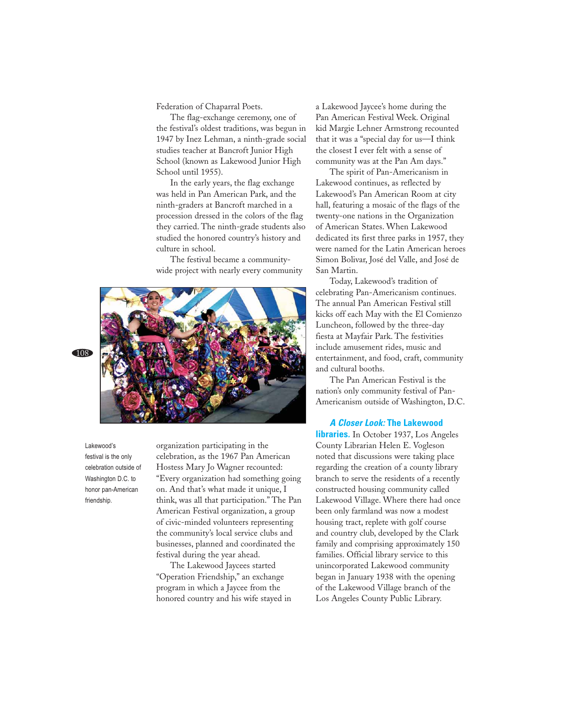Federation of Chaparral Poets.

The flag-exchange ceremony, one of the festival's oldest traditions, was begun in 1947 by Inez Lehman, a ninth-grade social studies teacher at Bancroft Junior High School (known as Lakewood Junior High School until 1955).

In the early years, the flag exchange was held in Pan American Park, and the ninth-graders at Bancroft marched in a procession dressed in the colors of the flag they carried. The ninth-grade students also studied the honored country's history and culture in school.

The festival became a communitywide project with nearly every community



Lakewood's festival is the only celebration outside of Washington D.C. to honor pan-American friendship.

organization participating in the celebration, as the 1967 Pan American Hostess Mary Jo Wagner recounted: "Every organization had something going on. And that's what made it unique, I think, was all that participation." The Pan American Festival organization, a group of civic-minded volunteers representing the community's local service clubs and businesses, planned and coordinated the festival during the year ahead.

The Lakewood Jaycees started "Operation Friendship," an exchange program in which a Jaycee from the honored country and his wife stayed in

a Lakewood Jaycee's home during the Pan American Festival Week. Original kid Margie Lehner Armstrong recounted that it was a "special day for us-I think the closest I ever felt with a sense of community was at the Pan Am days."

The spirit of Pan-Americanism in Lakewood continues, as reflected by Lakewood's Pan American Room at city hall, featuring a mosaic of the flags of the twenty-one nations in the Organization of American States. When Lakewood dedicated its first three parks in 1957, they were named for the Latin American heroes Simon Bolivar, José del Valle, and José de San Martin.

Today, Lakewood's tradition of celebrating Pan-Americanism continues. The annual Pan American Festival still kicks off each May with the El Comienzo Luncheon, followed by the three-day fiesta at Mayfair Park. The festivities include amusement rides, music and entertainment, and food, craft, community and cultural booths.

The Pan American Festival is the nation's only community festival of Pan-Americanism outside of Washington, D.C.

### **A Closer Look: The Lakewood**

libraries. In October 1937, Los Angeles County Librarian Helen E. Vogleson noted that discussions were taking place regarding the creation of a county library branch to serve the residents of a recently constructed housing community called Lakewood Village. Where there had once been only farmland was now a modest housing tract, replete with golf course and country club, developed by the Clark family and comprising approximately 150 families. Official library service to this unincorporated Lakewood community began in January 1938 with the opening of the Lakewood Village branch of the Los Angeles County Public Library.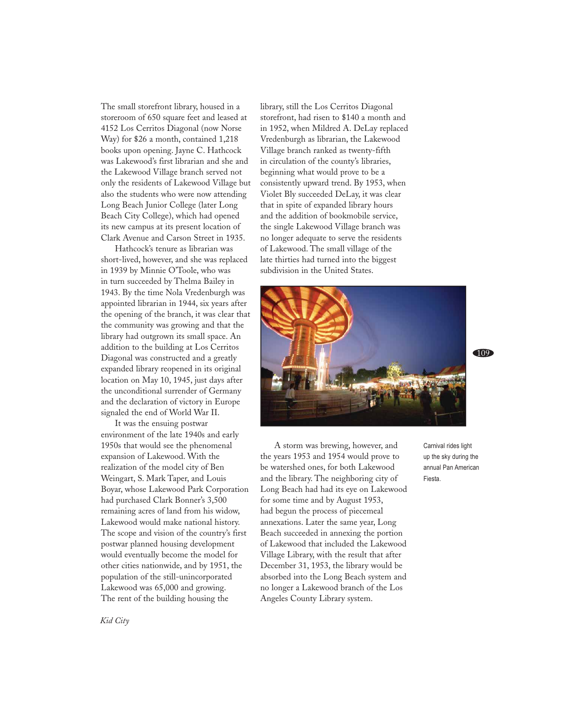The small storefront library, housed in a storeroom of 650 square feet and leased at 4152 Los Cerritos Diagonal (now Norse Way) for \$26 a month, contained 1,218 books upon opening. Jayne C. Hathcock was Lakewood's first librarian and she and the Lakewood Village branch served not only the residents of Lakewood Village but also the students who were now attending Long Beach Junior College (later Long Beach City College), which had opened its new campus at its present location of Clark Avenue and Carson Street in 1935.

Hathcock's tenure as librarian was short-lived, however, and she was replaced in 1939 by Minnie O'Toole, who was in turn succeeded by Thelma Bailey in 1943. By the time Nola Vredenburgh was appointed librarian in 1944, six years after the opening of the branch, it was clear that the community was growing and that the library had outgrown its small space. An addition to the building at Los Cerritos Diagonal was constructed and a greatly expanded library reopened in its original location on May 10, 1945, just days after the unconditional surrender of Germany and the declaration of victory in Europe signaled the end of World War II.

It was the ensuing postwar environment of the late 1940s and early 1950s that would see the phenomenal expansion of Lakewood. With the realization of the model city of Ben Weingart, S. Mark Taper, and Louis Boyar, whose Lakewood Park Corporation had purchased Clark Bonner's 3,500 remaining acres of land from his widow, Lakewood would make national history. The scope and vision of the country's first postwar planned housing development would eventually become the model for other cities nationwide, and by 1951, the population of the still-unincorporated Lakewood was 65,000 and growing. The rent of the building housing the

library, still the Los Cerritos Diagonal storefront, had risen to \$140 a month and in 1952, when Mildred A. DeLay replaced Vredenburgh as librarian, the Lakewood Village branch ranked as twenty-fifth in circulation of the county's libraries, beginning what would prove to be a consistently upward trend. By 1953, when Violet Bly succeeded DeLay, it was clear that in spite of expanded library hours and the addition of bookmobile service, the single Lakewood Village branch was no longer adequate to serve the residents of Lakewood. The small village of the late thirties had turned into the biggest subdivision in the United States.



A storm was brewing, however, and the years 1953 and 1954 would prove to be watershed ones, for both Lakewood and the library. The neighboring city of Long Beach had had its eye on Lakewood for some time and by August 1953, had begun the process of piecemeal annexations. Later the same year, Long Beach succeeded in annexing the portion of Lakewood that included the Lakewood Village Library, with the result that after December 31, 1953, the library would be absorbed into the Long Beach system and no longer a Lakewood branch of the Los Angeles County Library system.

Carnival rides light up the sky during the annual Pan American Fiesta.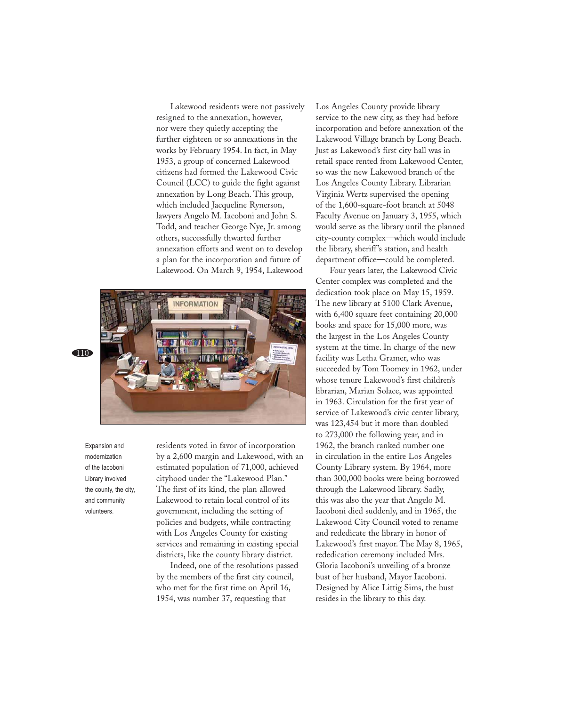Lakewood residents were not passively resigned to the annexation, however, nor were they quietly accepting the further eighteen or so annexations in the works by February 1954. In fact, in May 1953, a group of concerned Lakewood citizens had formed the Lakewood Civic Council (LCC) to guide the fight against annexation by Long Beach. This group, which included Jacqueline Rynerson, lawyers Angelo M. Iacoboni and John S. Todd, and teacher George Nye, Jr. among others, successfully thwarted further annexation efforts and went on to develop a plan for the incorporation and future of Lakewood. On March 9, 1954, Lakewood



Expansion and modernization of the lacoboni Library involved the county, the city, and community volunteers.

residents voted in favor of incorporation by a 2,600 margin and Lakewood, with an estimated population of 71,000, achieved cityhood under the "Lakewood Plan." The first of its kind, the plan allowed Lakewood to retain local control of its government, including the setting of policies and budgets, while contracting with Los Angeles County for existing services and remaining in existing special districts, like the county library district.

Indeed, one of the resolutions passed by the members of the first city council, who met for the first time on April 16, 1954, was number 37, requesting that

Los Angeles County provide library service to the new city, as they had before incorporation and before annexation of the Lakewood Village branch by Long Beach. Just as Lakewood's first city hall was in retail space rented from Lakewood Center, so was the new Lakewood branch of the Los Angeles County Library. Librarian Virginia Wertz supervised the opening of the 1,600-square-foot branch at 5048 Faculty Avenue on January 3, 1955, which would serve as the library until the planned city-county complex-which would include the library, sheriff's station, and health department office—could be completed.

Four years later, the Lakewood Civic Center complex was completed and the dedication took place on May 15, 1959. The new library at 5100 Clark Avenue, with 6,400 square feet containing 20,000 books and space for 15,000 more, was the largest in the Los Angeles County system at the time. In charge of the new facility was Letha Gramer, who was succeeded by Tom Toomey in 1962, under whose tenure Lakewood's first children's librarian, Marian Solace, was appointed in 1963. Circulation for the first year of service of Lakewood's civic center library, was 123,454 but it more than doubled to 273,000 the following year, and in 1962, the branch ranked number one in circulation in the entire Los Angeles County Library system. By 1964, more than 300,000 books were being borrowed through the Lakewood library. Sadly, this was also the year that Angelo M. Iacoboni died suddenly, and in 1965, the Lakewood City Council voted to rename and rededicate the library in honor of Lakewood's first mayor. The May 8, 1965, rededication ceremony included Mrs. Gloria Iacoboni's unveiling of a bronze bust of her husband, Mayor Iacoboni. Designed by Alice Littig Sims, the bust resides in the library to this day.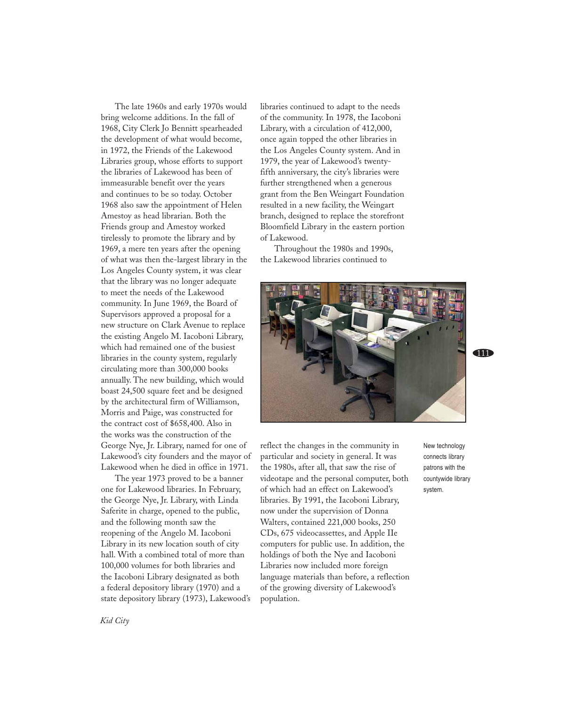The late 1960s and early 1970s would bring welcome additions. In the fall of 1968, City Clerk Jo Bennitt spearheaded the development of what would become, in 1972, the Friends of the Lakewood Libraries group, whose efforts to support the libraries of Lakewood has been of immeasurable benefit over the years and continues to be so today. October 1968 also saw the appointment of Helen Amestoy as head librarian. Both the Friends group and Amestoy worked tirelessly to promote the library and by 1969, a mere ten years after the opening of what was then the-largest library in the Los Angeles County system, it was clear that the library was no longer adequate to meet the needs of the Lakewood community. In June 1969, the Board of Supervisors approved a proposal for a new structure on Clark Avenue to replace the existing Angelo M. Iacoboni Library, which had remained one of the busiest libraries in the county system, regularly circulating more than 300,000 books annually. The new building, which would boast 24,500 square feet and be designed by the architectural firm of Williamson, Morris and Paige, was constructed for the contract cost of \$658,400. Also in the works was the construction of the George Nye, Jr. Library, named for one of Lakewood's city founders and the mayor of Lakewood when he died in office in 1971.

The year 1973 proved to be a banner one for Lakewood libraries. In February, the George Nye, Jr. Library, with Linda Saferite in charge, opened to the public, and the following month saw the reopening of the Angelo M. Iacoboni Library in its new location south of city hall. With a combined total of more than 100,000 volumes for both libraries and the Iacoboni Library designated as both a federal depository library (1970) and a state depository library (1973), Lakewood's libraries continued to adapt to the needs of the community. In 1978, the Iacoboni Library, with a circulation of 412,000, once again topped the other libraries in the Los Angeles County system. And in 1979, the year of Lakewood's twentyfifth anniversary, the city's libraries were further strengthened when a generous grant from the Ben Weingart Foundation resulted in a new facility, the Weingart branch, designed to replace the storefront Bloomfield Library in the eastern portion of Lakewood.

Throughout the 1980s and 1990s, the Lakewood libraries continued to



reflect the changes in the community in particular and society in general. It was the 1980s, after all, that saw the rise of videotape and the personal computer, both of which had an effect on Lakewood's libraries. By 1991, the Iacoboni Library, now under the supervision of Donna Walters, contained 221,000 books, 250 CDs, 675 videocassettes, and Apple IIe computers for public use. In addition, the holdings of both the Nye and Iacoboni Libraries now included more foreign language materials than before, a reflection of the growing diversity of Lakewood's population.

New technology connects library patrons with the countywide library system.